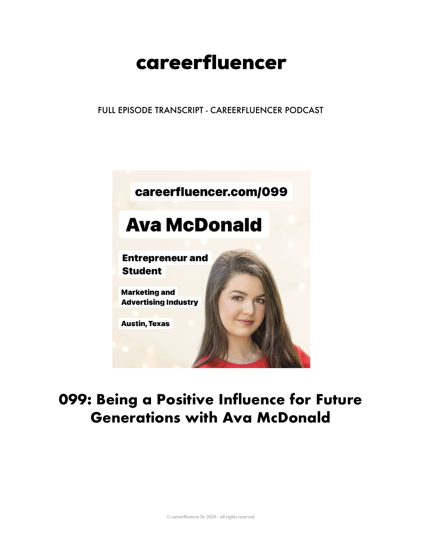# careerfluencer

FULL EPISODE TRANSCRIPT - CAREERFLUENCER PODCAST



## 099: Being a Positive Influence for Future **Generations with Ava McDonald**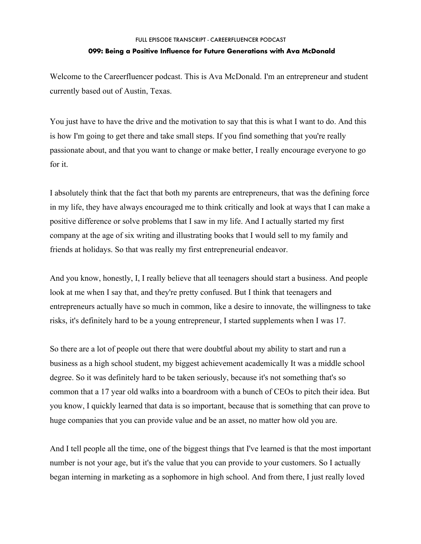### FULL EPISODE TRANSCRIPT - CAREERFLUENCER PODCAST **099: Being a Positive Influence for Future Generations with Ava McDonald**

Welcome to the Careerfluencer podcast. This is Ava McDonald. I'm an entrepreneur and student currently based out of Austin, Texas.

You just have to have the drive and the motivation to say that this is what I want to do. And this is how I'm going to get there and take small steps. If you find something that you're really passionate about, and that you want to change or make better, I really encourage everyone to go for it.

I absolutely think that the fact that both my parents are entrepreneurs, that was the defining force in my life, they have always encouraged me to think critically and look at ways that I can make a positive difference or solve problems that I saw in my life. And I actually started my first company at the age of six writing and illustrating books that I would sell to my family and friends at holidays. So that was really my first entrepreneurial endeavor.

And you know, honestly, I, I really believe that all teenagers should start a business. And people look at me when I say that, and they're pretty confused. But I think that teenagers and entrepreneurs actually have so much in common, like a desire to innovate, the willingness to take risks, it's definitely hard to be a young entrepreneur, I started supplements when I was 17.

So there are a lot of people out there that were doubtful about my ability to start and run a business as a high school student, my biggest achievement academically It was a middle school degree. So it was definitely hard to be taken seriously, because it's not something that's so common that a 17 year old walks into a boardroom with a bunch of CEOs to pitch their idea. But you know, I quickly learned that data is so important, because that is something that can prove to huge companies that you can provide value and be an asset, no matter how old you are.

And I tell people all the time, one of the biggest things that I've learned is that the most important number is not your age, but it's the value that you can provide to your customers. So I actually began interning in marketing as a sophomore in high school. And from there, I just really loved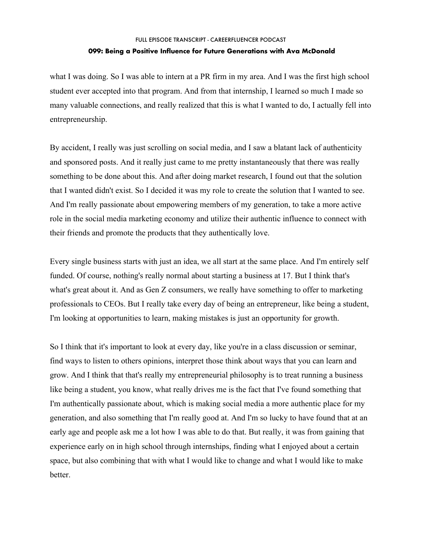#### FULL EPISODE TRANSCRIPT - CAREERFLUENCER PODCAST

#### **099: Being a Positive Influence for Future Generations with Ava McDonald**

what I was doing. So I was able to intern at a PR firm in my area. And I was the first high school student ever accepted into that program. And from that internship, I learned so much I made so many valuable connections, and really realized that this is what I wanted to do, I actually fell into entrepreneurship.

By accident, I really was just scrolling on social media, and I saw a blatant lack of authenticity and sponsored posts. And it really just came to me pretty instantaneously that there was really something to be done about this. And after doing market research, I found out that the solution that I wanted didn't exist. So I decided it was my role to create the solution that I wanted to see. And I'm really passionate about empowering members of my generation, to take a more active role in the social media marketing economy and utilize their authentic influence to connect with their friends and promote the products that they authentically love.

Every single business starts with just an idea, we all start at the same place. And I'm entirely self funded. Of course, nothing's really normal about starting a business at 17. But I think that's what's great about it. And as Gen Z consumers, we really have something to offer to marketing professionals to CEOs. But I really take every day of being an entrepreneur, like being a student, I'm looking at opportunities to learn, making mistakes is just an opportunity for growth.

So I think that it's important to look at every day, like you're in a class discussion or seminar, find ways to listen to others opinions, interpret those think about ways that you can learn and grow. And I think that that's really my entrepreneurial philosophy is to treat running a business like being a student, you know, what really drives me is the fact that I've found something that I'm authentically passionate about, which is making social media a more authentic place for my generation, and also something that I'm really good at. And I'm so lucky to have found that at an early age and people ask me a lot how I was able to do that. But really, it was from gaining that experience early on in high school through internships, finding what I enjoyed about a certain space, but also combining that with what I would like to change and what I would like to make better.